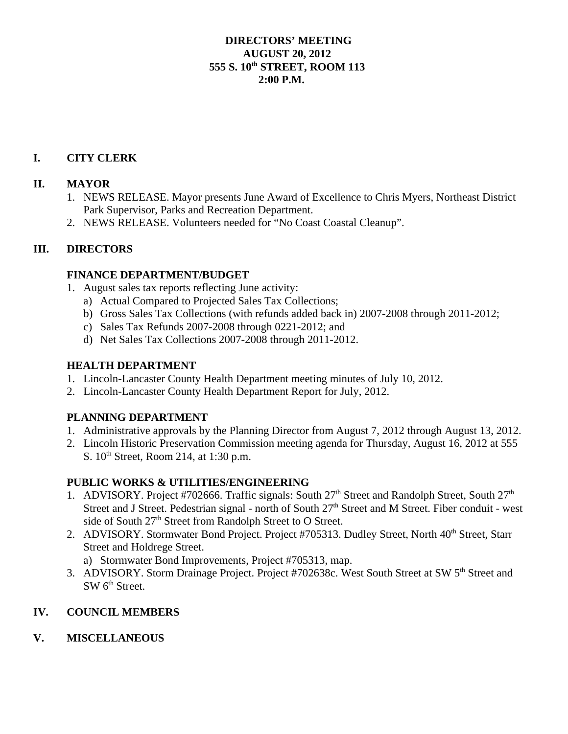#### **DIRECTORS' MEETING AUGUST 20, 2012 555 S. 10th STREET, ROOM 113 2:00 P.M.**

# **I. CITY CLERK**

## **II. MAYOR**

- 1. NEWS RELEASE. Mayor presents June Award of Excellence to Chris Myers, Northeast District Park Supervisor, Parks and Recreation Department.
- 2. NEWS RELEASE. Volunteers needed for "No Coast Coastal Cleanup".

## **III. DIRECTORS**

#### **FINANCE DEPARTMENT/BUDGET**

- 1. August sales tax reports reflecting June activity:
	- a) Actual Compared to Projected Sales Tax Collections;
	- b) Gross Sales Tax Collections (with refunds added back in) 2007-2008 through 2011-2012;
	- c) Sales Tax Refunds 2007-2008 through 0221-2012; and
	- d) Net Sales Tax Collections 2007-2008 through 2011-2012.

#### **HEALTH DEPARTMENT**

- 1. Lincoln-Lancaster County Health Department meeting minutes of July 10, 2012.
- 2. Lincoln-Lancaster County Health Department Report for July, 2012.

## **PLANNING DEPARTMENT**

- 1. Administrative approvals by the Planning Director from August 7, 2012 through August 13, 2012.
- 2. Lincoln Historic Preservation Commission meeting agenda for Thursday, August 16, 2012 at 555 S.  $10^{th}$  Street, Room 214, at 1:30 p.m.

## **PUBLIC WORKS & UTILITIES/ENGINEERING**

- 1. ADVISORY. Project #702666. Traffic signals: South  $27<sup>th</sup>$  Street and Randolph Street, South  $27<sup>th</sup>$ Street and J Street. Pedestrian signal - north of South 27<sup>th</sup> Street and M Street. Fiber conduit - west side of South 27<sup>th</sup> Street from Randolph Street to O Street.
- 2. ADVISORY. Stormwater Bond Project. Project #705313. Dudley Street, North 40<sup>th</sup> Street, Starr Street and Holdrege Street.
	- a) Stormwater Bond Improvements, Project #705313, map.
- 3. ADVISORY. Storm Drainage Project. Project #702638c. West South Street at SW 5<sup>th</sup> Street and  $SW 6<sup>th</sup> Street.$

## **IV. COUNCIL MEMBERS**

**V. MISCELLANEOUS**